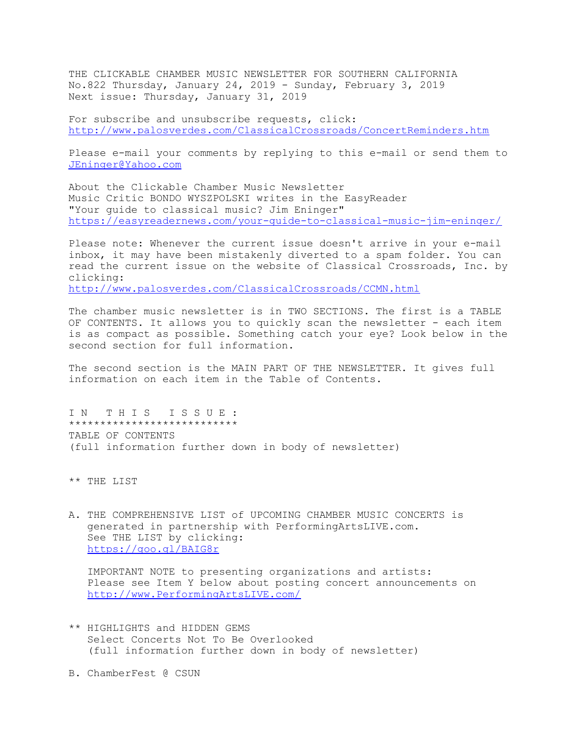THE CLICKABLE CHAMBER MUSIC NEWSLETTER FOR SOUTHERN CALIFORNIA No.822 Thursday, January 24, 2019 - Sunday, February 3, 2019 Next issue: Thursday, January 31, 2019

For subscribe and unsubscribe requests, click: http://www.palosverdes.com/ClassicalCrossroads/ConcertReminders.htm

Please e-mail your comments by replying to this e-mail or send them to JEninger@Yahoo.com

About the Clickable Chamber Music Newsletter Music Critic BONDO WYSZPOLSKI writes in the EasyReader "Your guide to classical music? Jim Eninger" https://easyreadernews.com/your-guide-to-classical-music-jim-eninger/

Please note: Whenever the current issue doesn't arrive in your e-mail inbox, it may have been mistakenly diverted to a spam folder. You can read the current issue on the website of Classical Crossroads, Inc. by clicking:

http://www.palosverdes.com/ClassicalCrossroads/CCMN.html

The chamber music newsletter is in TWO SECTIONS. The first is a TABLE OF CONTENTS. It allows you to quickly scan the newsletter - each item is as compact as possible. Something catch your eye? Look below in the second section for full information.

The second section is the MAIN PART OF THE NEWSLETTER. It gives full information on each item in the Table of Contents.

IN THIS ISSUE: \*\*\*\*\*\*\*\*\*\*\*\*\*\*\*\*\*\*\*\*\*\*\*\*\*\*\* TABLE OF CONTENTS (full information further down in body of newsletter)

\*\* THE LIST

A. THE COMPREHENSIVE LIST of UPCOMING CHAMBER MUSIC CONCERTS is generated in partnership with PerformingArtsLIVE.com. See THE LIST by clicking: https://goo.gl/BAIG8r

 IMPORTANT NOTE to presenting organizations and artists: Please see Item Y below about posting concert announcements on http://www.PerformingArtsLIVE.com/

\*\* HIGHLIGHTS and HIDDEN GEMS Select Concerts Not To Be Overlooked (full information further down in body of newsletter)

B. ChamberFest @ CSUN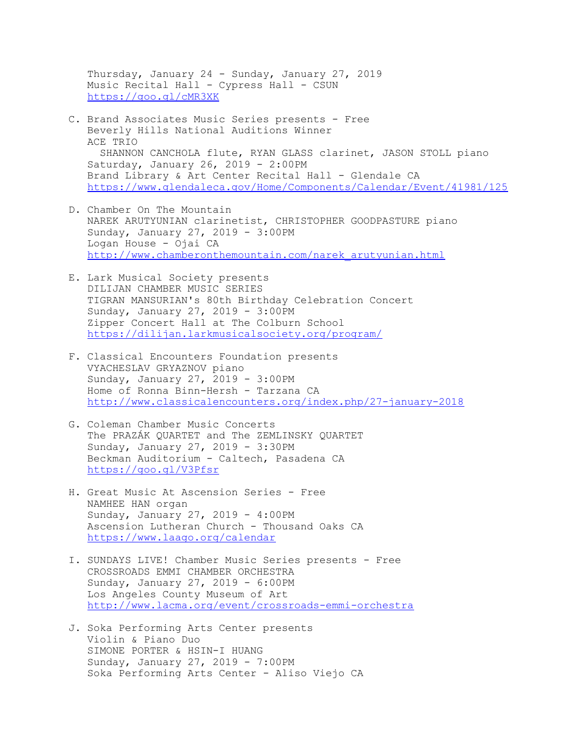Thursday, January 24 - Sunday, January 27, 2019 Music Recital Hall - Cypress Hall - CSUN https://goo.gl/cMR3XK

- C. Brand Associates Music Series presents Free Beverly Hills National Auditions Winner ACE TRIO SHANNON CANCHOLA flute, RYAN GLASS clarinet, JASON STOLL piano Saturday, January 26, 2019 - 2:00PM Brand Library & Art Center Recital Hall - Glendale CA https://www.glendaleca.gov/Home/Components/Calendar/Event/41981/125
- D. Chamber On The Mountain NAREK ARUTYUNIAN clarinetist, CHRISTOPHER GOODPASTURE piano Sunday, January 27, 2019 - 3:00PM Logan House - Ojai CA http://www.chamberonthemountain.com/narek\_arutyunian.html
- E. Lark Musical Society presents DILIJAN CHAMBER MUSIC SERIES TIGRAN MANSURIAN's 80th Birthday Celebration Concert Sunday, January 27, 2019 - 3:00PM Zipper Concert Hall at The Colburn School https://dilijan.larkmusicalsociety.org/program/
- F. Classical Encounters Foundation presents VYACHESLAV GRYAZNOV piano Sunday, January 27, 2019 - 3:00PM Home of Ronna Binn-Hersh - Tarzana CA http://www.classicalencounters.org/index.php/27-january-2018
- G. Coleman Chamber Music Concerts The PRAZÁK QUARTET and The ZEMLINSKY QUARTET Sunday, January 27, 2019 - 3:30PM Beckman Auditorium - Caltech, Pasadena CA https://goo.gl/V3Pfsr
- H. Great Music At Ascension Series Free NAMHEE HAN organ Sunday, January 27, 2019 - 4:00PM Ascension Lutheran Church - Thousand Oaks CA https://www.laago.org/calendar
- I. SUNDAYS LIVE! Chamber Music Series presents Free CROSSROADS EMMI CHAMBER ORCHESTRA Sunday, January 27, 2019 - 6:00PM Los Angeles County Museum of Art http://www.lacma.org/event/crossroads-emmi-orchestra
- J. Soka Performing Arts Center presents Violin & Piano Duo SIMONE PORTER & HSIN-I HUANG Sunday, January 27, 2019 - 7:00PM Soka Performing Arts Center - Aliso Viejo CA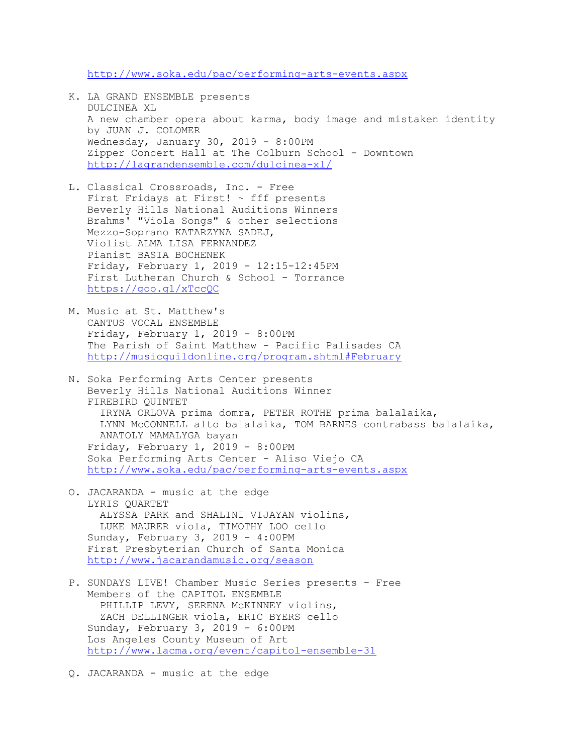http://www.soka.edu/pac/performing-arts-events.aspx

- K. LA GRAND ENSEMBLE presents DULCINEA XL A new chamber opera about karma, body image and mistaken identity by JUAN J. COLOMER Wednesday, January 30, 2019 - 8:00PM Zipper Concert Hall at The Colburn School - Downtown http://lagrandensemble.com/dulcinea-xl/
- L. Classical Crossroads, Inc. Free First Fridays at First!  $\sim$  fff presents Beverly Hills National Auditions Winners Brahms' "Viola Songs" & other selections Mezzo-Soprano KATARZYNA SADEJ, Violist ALMA LISA FERNANDEZ Pianist BASIA BOCHENEK Friday, February 1, 2019 - 12:15-12:45PM First Lutheran Church & School - Torrance https://goo.gl/xTccQC
- M. Music at St. Matthew's CANTUS VOCAL ENSEMBLE Friday, February 1, 2019 - 8:00PM The Parish of Saint Matthew - Pacific Palisades CA http://musicguildonline.org/program.shtml#February
- N. Soka Performing Arts Center presents Beverly Hills National Auditions Winner FIREBIRD QUINTET IRYNA ORLOVA prima domra, PETER ROTHE prima balalaika, LYNN McCONNELL alto balalaika, TOM BARNES contrabass balalaika, ANATOLY MAMALYGA bayan Friday, February 1, 2019 - 8:00PM Soka Performing Arts Center - Aliso Viejo CA http://www.soka.edu/pac/performing-arts-events.aspx
- O. JACARANDA music at the edge LYRIS QUARTET ALYSSA PARK and SHALINI VIJAYAN violins, LUKE MAURER viola, TIMOTHY LOO cello Sunday, February 3, 2019 - 4:00PM First Presbyterian Church of Santa Monica http://www.jacarandamusic.org/season
- P. SUNDAYS LIVE! Chamber Music Series presents Free Members of the CAPITOL ENSEMBLE PHILLIP LEVY, SERENA MCKINNEY violins, ZACH DELLINGER viola, ERIC BYERS cello Sunday, February 3, 2019 - 6:00PM Los Angeles County Museum of Art http://www.lacma.org/event/capitol-ensemble-31
- Q. JACARANDA music at the edge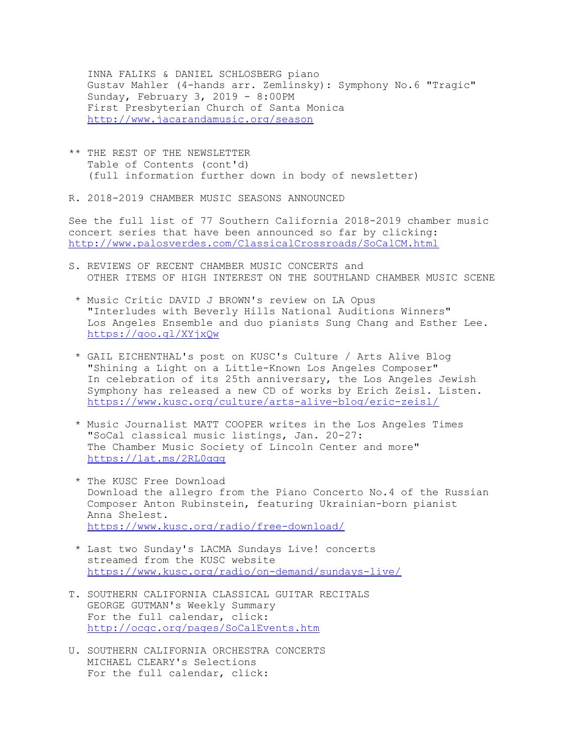INNA FALIKS & DANIEL SCHLOSBERG piano Gustav Mahler (4-hands arr. Zemlinsky): Symphony No.6 "Tragic" Sunday, February 3, 2019 - 8:00PM First Presbyterian Church of Santa Monica http://www.jacarandamusic.org/season

- \*\* THE REST OF THE NEWSLETTER Table of Contents (cont'd) (full information further down in body of newsletter)
- R. 2018-2019 CHAMBER MUSIC SEASONS ANNOUNCED

See the full list of 77 Southern California 2018-2019 chamber music concert series that have been announced so far by clicking: http://www.palosverdes.com/ClassicalCrossroads/SoCalCM.html

- S. REVIEWS OF RECENT CHAMBER MUSIC CONCERTS and OTHER ITEMS OF HIGH INTEREST ON THE SOUTHLAND CHAMBER MUSIC SCENE
	- \* Music Critic DAVID J BROWN's review on LA Opus "Interludes with Beverly Hills National Auditions Winners" Los Angeles Ensemble and duo pianists Sung Chang and Esther Lee. https://goo.gl/XYjxQw
	- \* GAIL EICHENTHAL's post on KUSC's Culture / Arts Alive Blog "Shining a Light on a Little-Known Los Angeles Composer" In celebration of its 25th anniversary, the Los Angeles Jewish Symphony has released a new CD of works by Erich Zeisl. Listen. https://www.kusc.org/culture/arts-alive-blog/eric-zeisl/
	- \* Music Journalist MATT COOPER writes in the Los Angeles Times "SoCal classical music listings, Jan. 20-27: The Chamber Music Society of Lincoln Center and more" https://lat.ms/2RL0gqg
	- \* The KUSC Free Download Download the allegro from the Piano Concerto No.4 of the Russian Composer Anton Rubinstein, featuring Ukrainian-born pianist Anna Shelest. https://www.kusc.org/radio/free-download/
	- \* Last two Sunday's LACMA Sundays Live! concerts streamed from the KUSC website https://www.kusc.org/radio/on-demand/sundays-live/
- T. SOUTHERN CALIFORNIA CLASSICAL GUITAR RECITALS GEORGE GUTMAN's Weekly Summary For the full calendar, click: http://ocgc.org/pages/SoCalEvents.htm
- U. SOUTHERN CALIFORNIA ORCHESTRA CONCERTS MICHAEL CLEARY's Selections For the full calendar, click: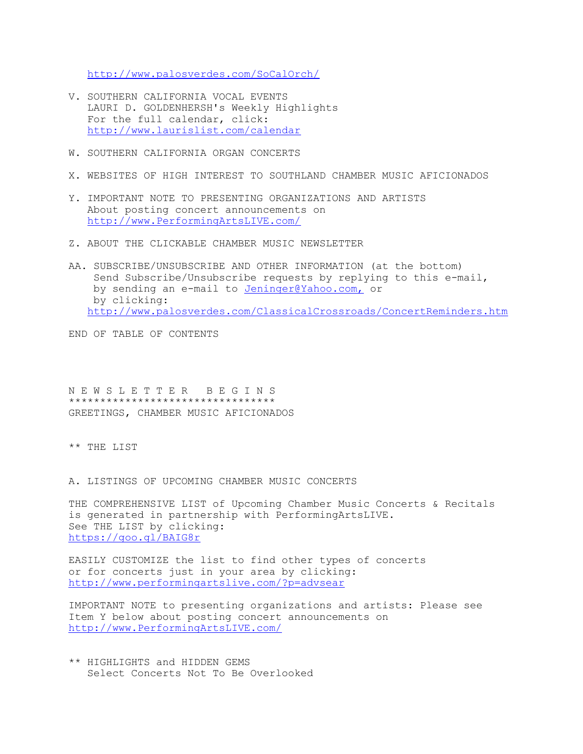http://www.palosverdes.com/SoCalOrch/

- V. SOUTHERN CALIFORNIA VOCAL EVENTS LAURI D. GOLDENHERSH's Weekly Highlights For the full calendar, click: http://www.laurislist.com/calendar
- W. SOUTHERN CALIFORNIA ORGAN CONCERTS
- X. WEBSITES OF HIGH INTEREST TO SOUTHLAND CHAMBER MUSIC AFICIONADOS
- Y. IMPORTANT NOTE TO PRESENTING ORGANIZATIONS AND ARTISTS About posting concert announcements on http://www.PerformingArtsLIVE.com/
- Z. ABOUT THE CLICKABLE CHAMBER MUSIC NEWSLETTER
- AA. SUBSCRIBE/UNSUBSCRIBE AND OTHER INFORMATION (at the bottom) Send Subscribe/Unsubscribe requests by replying to this e-mail, by sending an e-mail to Jeninger@Yahoo.com, or by clicking: http://www.palosverdes.com/ClassicalCrossroads/ConcertReminders.htm

END OF TABLE OF CONTENTS

N E W S L E T T E R B E G I N S \*\*\*\*\*\*\*\*\*\*\*\*\*\*\*\*\*\*\*\*\*\*\*\*\*\*\*\*\*\*\*\*\* GREETINGS, CHAMBER MUSIC AFICIONADOS

\*\* THE LIST

A. LISTINGS OF UPCOMING CHAMBER MUSIC CONCERTS

THE COMPREHENSIVE LIST of Upcoming Chamber Music Concerts & Recitals is generated in partnership with PerformingArtsLIVE. See THE LIST by clicking: https://goo.gl/BAIG8r

EASILY CUSTOMIZE the list to find other types of concerts or for concerts just in your area by clicking: http://www.performingartslive.com/?p=advsear

IMPORTANT NOTE to presenting organizations and artists: Please see Item Y below about posting concert announcements on http://www.PerformingArtsLIVE.com/

\*\* HIGHLIGHTS and HIDDEN GEMS Select Concerts Not To Be Overlooked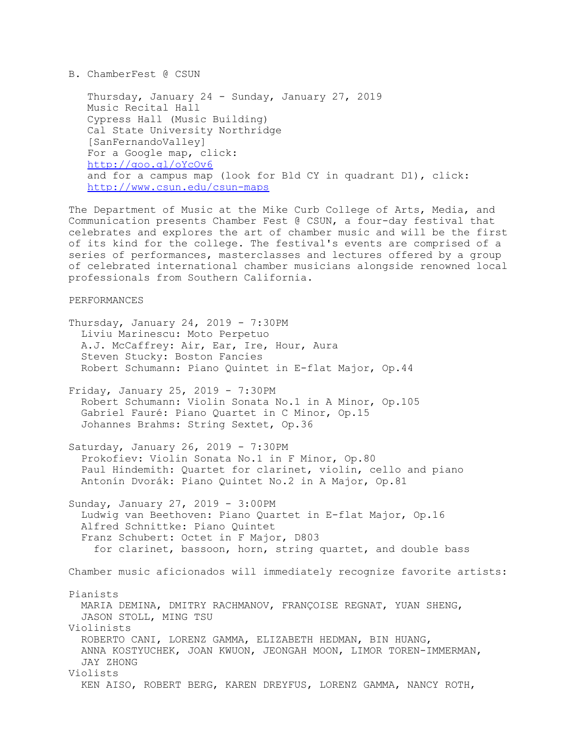# B. ChamberFest @ CSUN

 Thursday, January 24 - Sunday, January 27, 2019 Music Recital Hall Cypress Hall (Music Building) Cal State University Northridge [SanFernandoValley] For a Google map, click: http://goo.gl/oYcOv6 and for a campus map (look for Bld CY in quadrant D1), click: http://www.csun.edu/csun-maps

The Department of Music at the Mike Curb College of Arts, Media, and Communication presents Chamber Fest @ CSUN, a four-day festival that celebrates and explores the art of chamber music and will be the first of its kind for the college. The festival's events are comprised of a series of performances, masterclasses and lectures offered by a group of celebrated international chamber musicians alongside renowned local professionals from Southern California.

## PERFORMANCES

Thursday, January 24, 2019 -  $7:30PM$  Liviu Marinescu: Moto Perpetuo A.J. McCaffrey: Air, Ear, Ire, Hour, Aura Steven Stucky: Boston Fancies Robert Schumann: Piano Quintet in E-flat Major, Op.44

Friday, January 25, 2019 - 7:30PM Robert Schumann: Violin Sonata No.1 in A Minor, Op.105 Gabriel Fauré: Piano Quartet in C Minor, Op.15 Johannes Brahms: String Sextet, Op.36

Saturday, January 26, 2019 - 7:30PM Prokofiev: Violin Sonata No.1 in F Minor, Op.80 Paul Hindemith: Quartet for clarinet, violin, cello and piano Antonín Dvorák: Piano Quintet No.2 in A Major, Op.81

Sunday, January 27, 2019 - 3:00PM Ludwig van Beethoven: Piano Quartet in E-flat Major, Op.16 Alfred Schnittke: Piano Quintet Franz Schubert: Octet in F Major, D803 for clarinet, bassoon, horn, string quartet, and double bass

Chamber music aficionados will immediately recognize favorite artists:

## Pianists

 MARIA DEMINA, DMITRY RACHMANOV, FRANÇOISE REGNAT, YUAN SHENG, JASON STOLL, MING TSU Violinists

 ROBERTO CANI, LORENZ GAMMA, ELIZABETH HEDMAN, BIN HUANG, ANNA KOSTYUCHEK, JOAN KWUON, JEONGAH MOON, LIMOR TOREN-IMMERMAN, JAY ZHONG Violists

KEN AISO, ROBERT BERG, KAREN DREYFUS, LORENZ GAMMA, NANCY ROTH,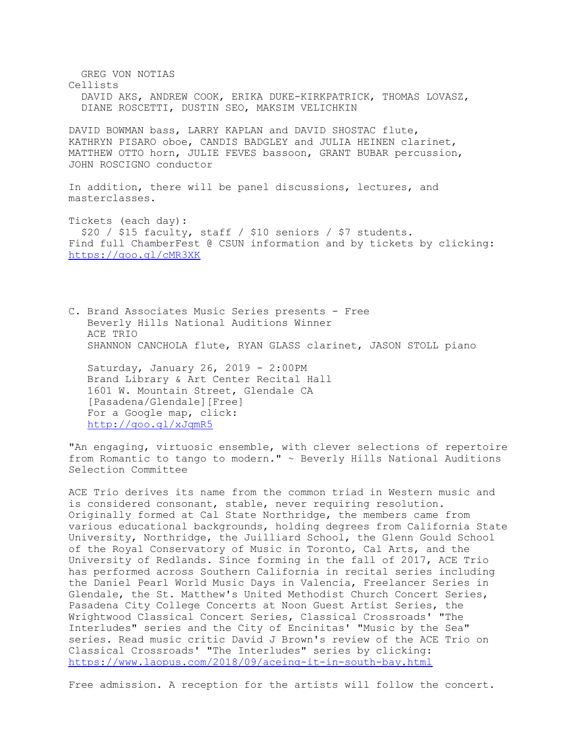GREG VON NOTIAS Cellists DAVID AKS, ANDREW COOK, ERIKA DUKE-KIRKPATRICK, THOMAS LOVASZ, DIANE ROSCETTI, DUSTIN SEO, MAKSIM VELICHKIN DAVID BOWMAN bass, LARRY KAPLAN and DAVID SHOSTAC flute, KATHRYN PISARO oboe, CANDIS BADGLEY and JULIA HEINEN clarinet, MATTHEW OTTO horn, JULIE FEVES bassoon, GRANT BUBAR percussion, JOHN ROSCIGNO conductor In addition, there will be panel discussions, lectures, and masterclasses. Tickets (each day): \$20 / \$15 faculty, staff / \$10 seniors / \$7 students. Find full ChamberFest @ CSUN information and by tickets by clicking: https://goo.gl/cMR3XK C. Brand Associates Music Series presents - Free Beverly Hills National Auditions Winner ACE TRIO

SHANNON CANCHOLA flute, RYAN GLASS clarinet, JASON STOLL piano

 Saturday, January 26, 2019 - 2:00PM Brand Library & Art Center Recital Hall 1601 W. Mountain Street, Glendale CA [Pasadena/Glendale][Free] For a Google map, click: http://goo.gl/xJqmR5

"An engaging, virtuosic ensemble, with clever selections of repertoire from Romantic to tango to modern." ~ Beverly Hills National Auditions Selection Committee

ACE Trio derives its name from the common triad in Western music and is considered consonant, stable, never requiring resolution. Originally formed at Cal State Northridge, the members came from various educational backgrounds, holding degrees from California State University, Northridge, the Juilliard School, the Glenn Gould School of the Royal Conservatory of Music in Toronto, Cal Arts, and the University of Redlands. Since forming in the fall of 2017, ACE Trio has performed across Southern California in recital series including the Daniel Pearl World Music Days in Valencia, Freelancer Series in Glendale, the St. Matthew's United Methodist Church Concert Series, Pasadena City College Concerts at Noon Guest Artist Series, the Wrightwood Classical Concert Series, Classical Crossroads' "The Interludes" series and the City of Encinitas' "Music by the Sea" series. Read music critic David J Brown's review of the ACE Trio on Classical Crossroads' "The Interludes" series by clicking: https://www.laopus.com/2018/09/aceing-it-in-south-bay.html

Free admission. A reception for the artists will follow the concert.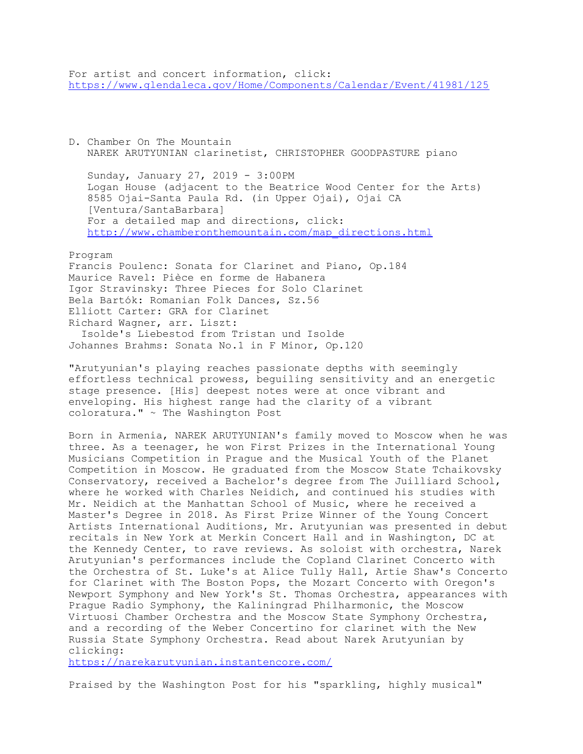For artist and concert information, click: https://www.glendaleca.gov/Home/Components/Calendar/Event/41981/125

D. Chamber On The Mountain NAREK ARUTYUNIAN clarinetist, CHRISTOPHER GOODPASTURE piano

 Sunday, January 27, 2019 - 3:00PM Logan House (adjacent to the Beatrice Wood Center for the Arts) 8585 Ojai-Santa Paula Rd. (in Upper Ojai), Ojai CA [Ventura/SantaBarbara] For a detailed map and directions, click: http://www.chamberonthemountain.com/map\_directions.html

Program

Francis Poulenc: Sonata for Clarinet and Piano, Op.184 Maurice Ravel: Pièce en forme de Habanera Igor Stravinsky: Three Pieces for Solo Clarinet Bela Bartók: Romanian Folk Dances, Sz.56 Elliott Carter: GRA for Clarinet Richard Wagner, arr. Liszt: Isolde's Liebestod from Tristan und Isolde Johannes Brahms: Sonata No.1 in F Minor, Op.120

"Arutyunian's playing reaches passionate depths with seemingly effortless technical prowess, beguiling sensitivity and an energetic stage presence. [His] deepest notes were at once vibrant and enveloping. His highest range had the clarity of a vibrant coloratura." ~ The Washington Post

Born in Armenia, NAREK ARUTYUNIAN's family moved to Moscow when he was three. As a teenager, he won First Prizes in the International Young Musicians Competition in Prague and the Musical Youth of the Planet Competition in Moscow. He graduated from the Moscow State Tchaikovsky Conservatory, received a Bachelor's degree from The Juilliard School, where he worked with Charles Neidich, and continued his studies with Mr. Neidich at the Manhattan School of Music, where he received a Master's Degree in 2018. As First Prize Winner of the Young Concert Artists International Auditions, Mr. Arutyunian was presented in debut recitals in New York at Merkin Concert Hall and in Washington, DC at the Kennedy Center, to rave reviews. As soloist with orchestra, Narek Arutyunian's performances include the Copland Clarinet Concerto with the Orchestra of St. Luke's at Alice Tully Hall, Artie Shaw's Concerto for Clarinet with The Boston Pops, the Mozart Concerto with Oregon's Newport Symphony and New York's St. Thomas Orchestra, appearances with Prague Radio Symphony, the Kaliningrad Philharmonic, the Moscow Virtuosi Chamber Orchestra and the Moscow State Symphony Orchestra, and a recording of the Weber Concertino for clarinet with the New Russia State Symphony Orchestra. Read about Narek Arutyunian by clicking:

https://narekarutyunian.instantencore.com/

Praised by the Washington Post for his "sparkling, highly musical"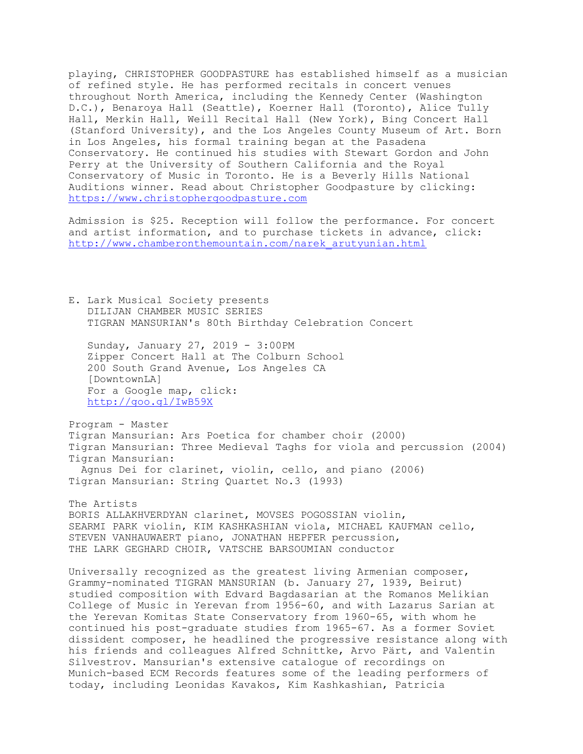playing, CHRISTOPHER GOODPASTURE has established himself as a musician of refined style. He has performed recitals in concert venues throughout North America, including the Kennedy Center (Washington D.C.), Benaroya Hall (Seattle), Koerner Hall (Toronto), Alice Tully Hall, Merkin Hall, Weill Recital Hall (New York), Bing Concert Hall (Stanford University), and the Los Angeles County Museum of Art. Born in Los Angeles, his formal training began at the Pasadena Conservatory. He continued his studies with Stewart Gordon and John Perry at the University of Southern California and the Royal Conservatory of Music in Toronto. He is a Beverly Hills National Auditions winner. Read about Christopher Goodpasture by clicking: https://www.christophergoodpasture.com

Admission is \$25. Reception will follow the performance. For concert and artist information, and to purchase tickets in advance, click: http://www.chamberonthemountain.com/narek\_arutyunian.html

E. Lark Musical Society presents DILIJAN CHAMBER MUSIC SERIES TIGRAN MANSURIAN's 80th Birthday Celebration Concert

 Sunday, January 27, 2019 - 3:00PM Zipper Concert Hall at The Colburn School 200 South Grand Avenue, Los Angeles CA [DowntownLA] For a Google map, click: http://goo.gl/IwB59X

Program - Master Tigran Mansurian: Ars Poetica for chamber choir (2000) Tigran Mansurian: Three Medieval Taghs for viola and percussion (2004) Tigran Mansurian: Agnus Dei for clarinet, violin, cello, and piano (2006) Tigran Mansurian: String Quartet No.3 (1993)

The Artists BORIS ALLAKHVERDYAN clarinet, MOVSES POGOSSIAN violin, SEARMI PARK violin, KIM KASHKASHIAN viola, MICHAEL KAUFMAN cello, STEVEN VANHAUWAERT piano, JONATHAN HEPFER percussion, THE LARK GEGHARD CHOIR, VATSCHE BARSOUMIAN conductor

Universally recognized as the greatest living Armenian composer, Grammy-nominated TIGRAN MANSURIAN (b. January 27, 1939, Beirut) studied composition with Edvard Bagdasarian at the Romanos Melikian College of Music in Yerevan from 1956-60, and with Lazarus Sarian at the Yerevan Komitas State Conservatory from 1960-65, with whom he continued his post-graduate studies from 1965-67. As a former Soviet dissident composer, he headlined the progressive resistance along with his friends and colleagues Alfred Schnittke, Arvo Pärt, and Valentin Silvestrov. Mansurian's extensive catalogue of recordings on Munich-based ECM Records features some of the leading performers of today, including Leonidas Kavakos, Kim Kashkashian, Patricia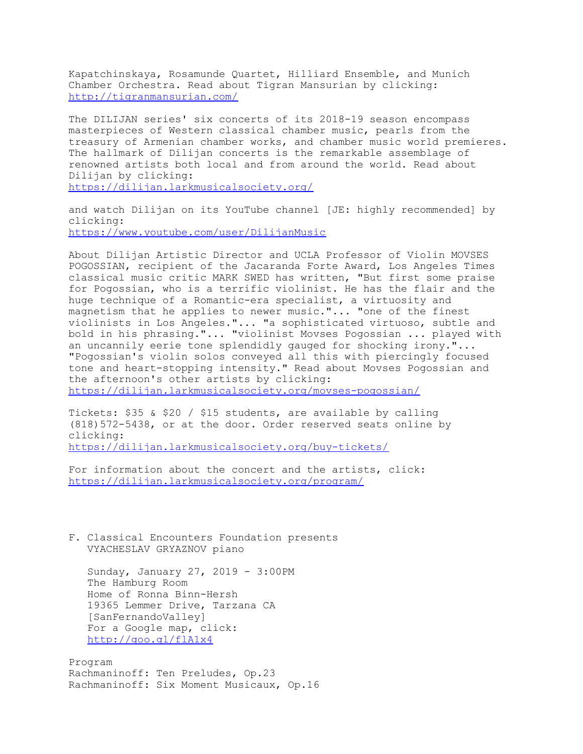Kapatchinskaya, Rosamunde Quartet, Hilliard Ensemble, and Munich Chamber Orchestra. Read about Tigran Mansurian by clicking: http://tigranmansurian.com/

The DILIJAN series' six concerts of its 2018-19 season encompass masterpieces of Western classical chamber music, pearls from the treasury of Armenian chamber works, and chamber music world premieres. The hallmark of Dilijan concerts is the remarkable assemblage of renowned artists both local and from around the world. Read about Dilijan by clicking: https://dilijan.larkmusicalsociety.org/

and watch Dilijan on its YouTube channel [JE: highly recommended] by clicking: https://www.youtube.com/user/DilijanMusic

About Dilijan Artistic Director and UCLA Professor of Violin MOVSES POGOSSIAN, recipient of the Jacaranda Forte Award, Los Angeles Times classical music critic MARK SWED has written, "But first some praise for Pogossian, who is a terrific violinist. He has the flair and the huge technique of a Romantic-era specialist, a virtuosity and magnetism that he applies to newer music."... "one of the finest violinists in Los Angeles."... "a sophisticated virtuoso, subtle and bold in his phrasing."... "violinist Movses Pogossian ... played with an uncannily eerie tone splendidly gauged for shocking irony."... "Pogossian's violin solos conveyed all this with piercingly focused tone and heart-stopping intensity." Read about Movses Pogossian and the afternoon's other artists by clicking:

https://dilijan.larkmusicalsociety.org/movses-pogossian/

Tickets: \$35 & \$20 / \$15 students, are available by calling (818)572-5438, or at the door. Order reserved seats online by clicking:

https://dilijan.larkmusicalsociety.org/buy-tickets/

For information about the concert and the artists, click: https://dilijan.larkmusicalsociety.org/program/

F. Classical Encounters Foundation presents VYACHESLAV GRYAZNOV piano

 Sunday, January 27, 2019 - 3:00PM The Hamburg Room Home of Ronna Binn-Hersh 19365 Lemmer Drive, Tarzana CA [SanFernandoValley] For a Google map, click: http://goo.gl/flA1x4

Program Rachmaninoff: Ten Preludes, Op.23 Rachmaninoff: Six Moment Musicaux, Op.16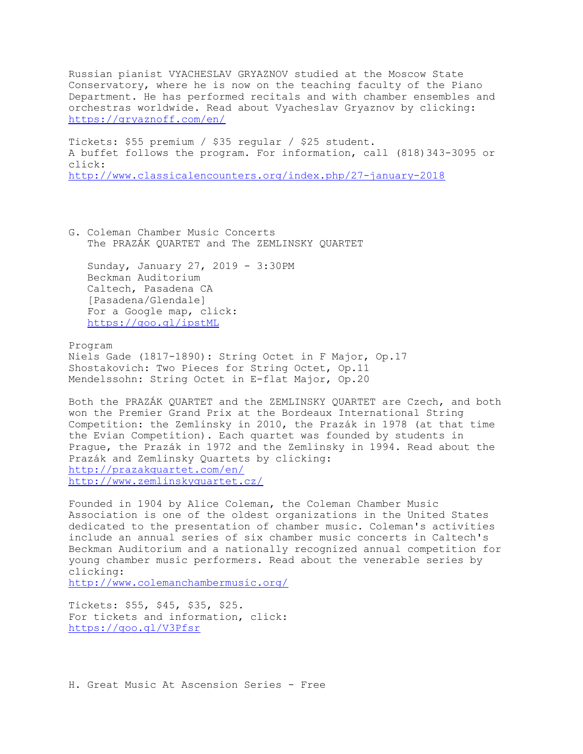Russian pianist VYACHESLAV GRYAZNOV studied at the Moscow State Conservatory, where he is now on the teaching faculty of the Piano Department. He has performed recitals and with chamber ensembles and orchestras worldwide. Read about Vyacheslav Gryaznov by clicking: https://gryaznoff.com/en/

Tickets: \$55 premium / \$35 regular / \$25 student. A buffet follows the program. For information, call (818)343-3095 or click: http://www.classicalencounters.org/index.php/27-january-2018

G. Coleman Chamber Music Concerts The PRAZÁK QUARTET and The ZEMLINSKY QUARTET

 Sunday, January 27, 2019 - 3:30PM Beckman Auditorium Caltech, Pasadena CA [Pasadena/Glendale] For a Google map, click: https://goo.gl/ipstML

Program Niels Gade (1817-1890): String Octet in F Major, Op.17 Shostakovich: Two Pieces for String Octet, Op.11 Mendelssohn: String Octet in E-flat Major, Op.20

Both the PRAZÁK QUARTET and the ZEMLINSKY QUARTET are Czech, and both won the Premier Grand Prix at the Bordeaux International String Competition: the Zemlinsky in 2010, the Prazák in 1978 (at that time the Evian Competition). Each quartet was founded by students in Prague, the Prazák in 1972 and the Zemlinsky in 1994. Read about the Prazák and Zemlinsky Quartets by clicking: http://prazakquartet.com/en/ http://www.zemlinskyquartet.cz/

Founded in 1904 by Alice Coleman, the Coleman Chamber Music Association is one of the oldest organizations in the United States dedicated to the presentation of chamber music. Coleman's activities include an annual series of six chamber music concerts in Caltech's Beckman Auditorium and a nationally recognized annual competition for young chamber music performers. Read about the venerable series by clicking:

http://www.colemanchambermusic.org/

Tickets: \$55, \$45, \$35, \$25. For tickets and information, click: https://goo.gl/V3Pfsr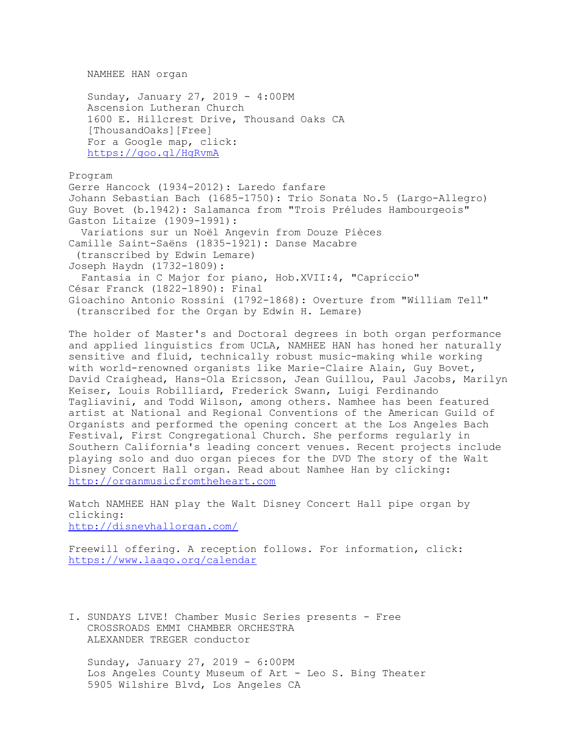NAMHEE HAN organ

 Sunday, January 27, 2019 - 4:00PM Ascension Lutheran Church 1600 E. Hillcrest Drive, Thousand Oaks CA [ThousandOaks][Free] For a Google map, click: https://goo.gl/HgRvmA

Program

Gerre Hancock (1934-2012): Laredo fanfare Johann Sebastian Bach (1685-1750): Trio Sonata No.5 (Largo-Allegro) Guy Bovet (b.1942): Salamanca from "Trois Préludes Hambourgeois" Gaston Litaize (1909-1991): Variations sur un Noël Angevin from Douze Pièces Camille Saint-Saëns (1835-1921): Danse Macabre (transcribed by Edwin Lemare) Joseph Haydn (1732-1809): Fantasia in C Major for piano, Hob.XVII:4, "Capriccio" César Franck (1822-1890): Final Gioachino Antonio Rossini (1792-1868): Overture from "William Tell" (transcribed for the Organ by Edwin H. Lemare)

The holder of Master's and Doctoral degrees in both organ performance and applied linguistics from UCLA, NAMHEE HAN has honed her naturally sensitive and fluid, technically robust music-making while working with world-renowned organists like Marie-Claire Alain, Guy Bovet, David Craighead, Hans-Ola Ericsson, Jean Guillou, Paul Jacobs, Marilyn Keiser, Louis Robilliard, Frederick Swann, Luigi Ferdinando Tagliavini, and Todd Wilson, among others. Namhee has been featured artist at National and Regional Conventions of the American Guild of Organists and performed the opening concert at the Los Angeles Bach Festival, First Congregational Church. She performs regularly in Southern California's leading concert venues. Recent projects include playing solo and duo organ pieces for the DVD The story of the Walt Disney Concert Hall organ. Read about Namhee Han by clicking: http://organmusicfromtheheart.com

Watch NAMHEE HAN play the Walt Disney Concert Hall pipe organ by clicking: http://disneyhallorgan.com/

Freewill offering. A reception follows. For information, click: https://www.laago.org/calendar

I. SUNDAYS LIVE! Chamber Music Series presents - Free CROSSROADS EMMI CHAMBER ORCHESTRA ALEXANDER TREGER conductor

 Sunday, January 27, 2019 - 6:00PM Los Angeles County Museum of Art - Leo S. Bing Theater 5905 Wilshire Blvd, Los Angeles CA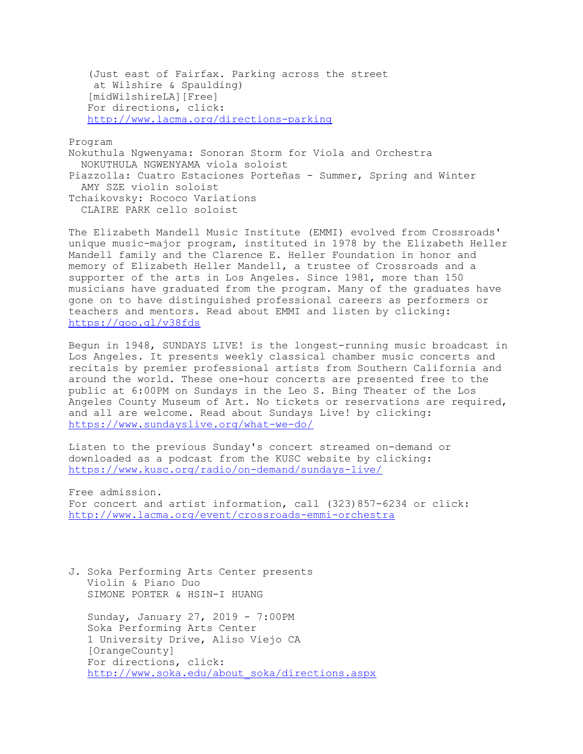(Just east of Fairfax. Parking across the street at Wilshire & Spaulding) [midWilshireLA][Free] For directions, click: http://www.lacma.org/directions-parking

Program

Nokuthula Ngwenyama: Sonoran Storm for Viola and Orchestra NOKUTHULA NGWENYAMA viola soloist Piazzolla: Cuatro Estaciones Porteñas - Summer, Spring and Winter AMY SZE violin soloist Tchaikovsky: Rococo Variations CLAIRE PARK cello soloist

The Elizabeth Mandell Music Institute (EMMI) evolved from Crossroads' unique music-major program, instituted in 1978 by the Elizabeth Heller Mandell family and the Clarence E. Heller Foundation in honor and memory of Elizabeth Heller Mandell, a trustee of Crossroads and a supporter of the arts in Los Angeles. Since 1981, more than 150 musicians have graduated from the program. Many of the graduates have gone on to have distinguished professional careers as performers or teachers and mentors. Read about EMMI and listen by clicking: https://goo.gl/v38fds

Begun in 1948, SUNDAYS LIVE! is the longest-running music broadcast in Los Angeles. It presents weekly classical chamber music concerts and recitals by premier professional artists from Southern California and around the world. These one-hour concerts are presented free to the public at 6:00PM on Sundays in the Leo S. Bing Theater of the Los Angeles County Museum of Art. No tickets or reservations are required, and all are welcome. Read about Sundays Live! by clicking: https://www.sundayslive.org/what-we-do/

Listen to the previous Sunday's concert streamed on-demand or downloaded as a podcast from the KUSC website by clicking: https://www.kusc.org/radio/on-demand/sundays-live/

Free admission. For concert and artist information, call (323)857-6234 or click: http://www.lacma.org/event/crossroads-emmi-orchestra

J. Soka Performing Arts Center presents Violin & Piano Duo SIMONE PORTER & HSIN-I HUANG

 Sunday, January 27, 2019 - 7:00PM Soka Performing Arts Center 1 University Drive, Aliso Viejo CA [OrangeCounty] For directions, click: http://www.soka.edu/about\_soka/directions.aspx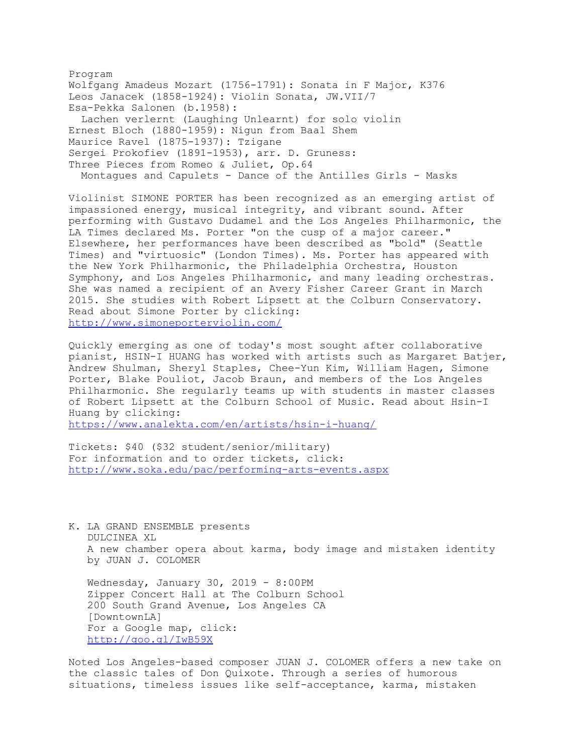Program Wolfgang Amadeus Mozart (1756-1791): Sonata in F Major, K376 Leos Janacek (1858-1924): Violin Sonata, JW.VII/7 Esa-Pekka Salonen (b.1958): Lachen verlernt (Laughing Unlearnt) for solo violin Ernest Bloch (1880-1959): Nigun from Baal Shem Maurice Ravel (1875-1937): Tzigane Sergei Prokofiev (1891-1953), arr. D. Gruness: Three Pieces from Romeo & Juliet, Op.64 Montagues and Capulets - Dance of the Antilles Girls - Masks

Violinist SIMONE PORTER has been recognized as an emerging artist of impassioned energy, musical integrity, and vibrant sound. After performing with Gustavo Dudamel and the Los Angeles Philharmonic, the LA Times declared Ms. Porter "on the cusp of a major career." Elsewhere, her performances have been described as "bold" (Seattle Times) and "virtuosic" (London Times). Ms. Porter has appeared with the New York Philharmonic, the Philadelphia Orchestra, Houston Symphony, and Los Angeles Philharmonic, and many leading orchestras. She was named a recipient of an Avery Fisher Career Grant in March 2015. She studies with Robert Lipsett at the Colburn Conservatory. Read about Simone Porter by clicking: http://www.simoneporterviolin.com/

Quickly emerging as one of today's most sought after collaborative pianist, HSIN-I HUANG has worked with artists such as Margaret Batjer, Andrew Shulman, Sheryl Staples, Chee-Yun Kim, William Hagen, Simone Porter, Blake Pouliot, Jacob Braun, and members of the Los Angeles Philharmonic. She regularly teams up with students in master classes of Robert Lipsett at the Colburn School of Music. Read about Hsin-I Huang by clicking:

https://www.analekta.com/en/artists/hsin-i-huang/

Tickets: \$40 (\$32 student/senior/military) For information and to order tickets, click: http://www.soka.edu/pac/performing-arts-events.aspx

K. LA GRAND ENSEMBLE presents DULCINEA XL A new chamber opera about karma, body image and mistaken identity by JUAN J. COLOMER

 Wednesday, January 30, 2019 - 8:00PM Zipper Concert Hall at The Colburn School 200 South Grand Avenue, Los Angeles CA [DowntownLA] For a Google map, click: http://goo.gl/IwB59X

Noted Los Angeles-based composer JUAN J. COLOMER offers a new take on the classic tales of Don Quixote. Through a series of humorous situations, timeless issues like self-acceptance, karma, mistaken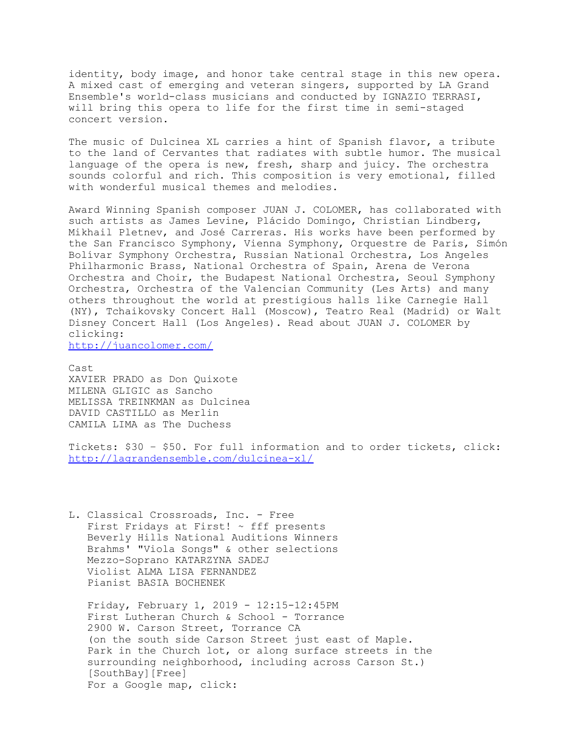identity, body image, and honor take central stage in this new opera. A mixed cast of emerging and veteran singers, supported by LA Grand Ensemble's world-class musicians and conducted by IGNAZIO TERRASI, will bring this opera to life for the first time in semi-staged concert version.

The music of Dulcinea XL carries a hint of Spanish flavor, a tribute to the land of Cervantes that radiates with subtle humor. The musical language of the opera is new, fresh, sharp and juicy. The orchestra sounds colorful and rich. This composition is very emotional, filled with wonderful musical themes and melodies.

Award Winning Spanish composer JUAN J. COLOMER, has collaborated with such artists as James Levine, Plácido Domingo, Christian Lindberg, Mikhail Pletnev, and José Carreras. His works have been performed by the San Francisco Symphony, Vienna Symphony, Orquestre de Paris, Simón Bolívar Symphony Orchestra, Russian National Orchestra, Los Angeles Philharmonic Brass, National Orchestra of Spain, Arena de Verona Orchestra and Choir, the Budapest National Orchestra, Seoul Symphony Orchestra, Orchestra of the Valencian Community (Les Arts) and many others throughout the world at prestigious halls like Carnegie Hall (NY), Tchaikovsky Concert Hall (Moscow), Teatro Real (Madrid) or Walt Disney Concert Hall (Los Angeles). Read about JUAN J. COLOMER by clicking:

http://juancolomer.com/

Cast XAVIER PRADO as Don Quixote MILENA GLIGIC as Sancho MELISSA TREINKMAN as Dulcinea DAVID CASTILLO as Merlin CAMILA LIMA as The Duchess

Tickets: \$30 – \$50. For full information and to order tickets, click: http://lagrandensemble.com/dulcinea-xl/

L. Classical Crossroads, Inc. - Free First Fridays at First! ~ fff presents Beverly Hills National Auditions Winners Brahms' "Viola Songs" & other selections Mezzo-Soprano KATARZYNA SADEJ Violist ALMA LISA FERNANDEZ Pianist BASIA BOCHENEK

 Friday, February 1, 2019 - 12:15-12:45PM First Lutheran Church & School - Torrance 2900 W. Carson Street, Torrance CA (on the south side Carson Street just east of Maple. Park in the Church lot, or along surface streets in the surrounding neighborhood, including across Carson St.) [SouthBay][Free] For a Google map, click: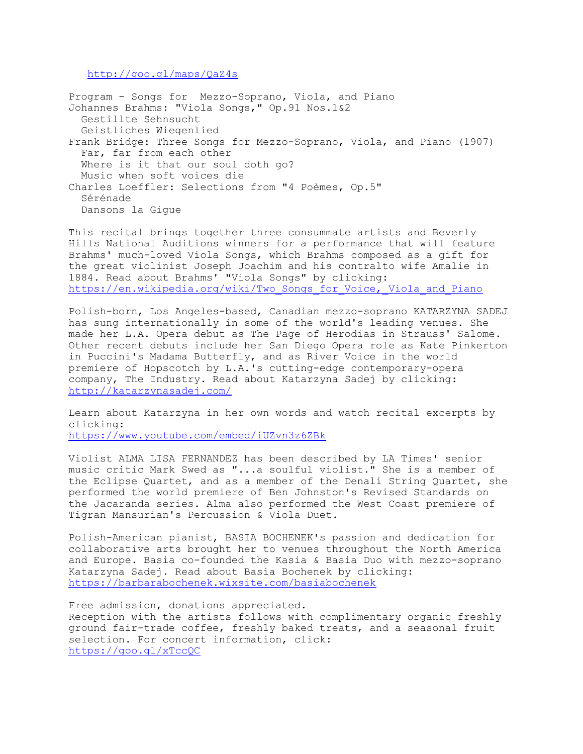http://goo.gl/maps/QaZ4s

Program - Songs for Mezzo-Soprano, Viola, and Piano Johannes Brahms: "Viola Songs," Op.91 Nos.1&2 Gestillte Sehnsucht Geistliches Wiegenlied Frank Bridge: Three Songs for Mezzo-Soprano, Viola, and Piano (1907) Far, far from each other Where is it that our soul doth go? Music when soft voices die Charles Loeffler: Selections from "4 Poèmes, Op.5" Sérénade Dansons la Gigue

This recital brings together three consummate artists and Beverly Hills National Auditions winners for a performance that will feature Brahms' much-loved Viola Songs, which Brahms composed as a gift for the great violinist Joseph Joachim and his contralto wife Amalie in 1884. Read about Brahms' "Viola Songs" by clicking: https://en.wikipedia.org/wiki/Two Songs\_for\_Voice, Viola\_and\_Piano

Polish-born, Los Angeles-based, Canadian mezzo-soprano KATARZYNA SADEJ has sung internationally in some of the world's leading venues. She made her L.A. Opera debut as The Page of Herodias in Strauss' Salome. Other recent debuts include her San Diego Opera role as Kate Pinkerton in Puccini's Madama Butterfly, and as River Voice in the world premiere of Hopscotch by L.A.'s cutting-edge contemporary-opera company, The Industry. Read about Katarzyna Sadej by clicking: http://katarzynasadej.com/

Learn about Katarzyna in her own words and watch recital excerpts by clicking: https://www.youtube.com/embed/iUZvn3z6ZBk

Violist ALMA LISA FERNANDEZ has been described by LA Times' senior music critic Mark Swed as "...a soulful violist." She is a member of the Eclipse Quartet, and as a member of the Denali String Quartet, she performed the world premiere of Ben Johnston's Revised Standards on the Jacaranda series. Alma also performed the West Coast premiere of Tigran Mansurian's Percussion & Viola Duet.

Polish-American pianist, BASIA BOCHENEK's passion and dedication for collaborative arts brought her to venues throughout the North America and Europe. Basia co-founded the Kasia & Basia Duo with mezzo-soprano Katarzyna Sadej. Read about Basia Bochenek by clicking: https://barbarabochenek.wixsite.com/basiabochenek

Free admission, donations appreciated. Reception with the artists follows with complimentary organic freshly ground fair-trade coffee, freshly baked treats, and a seasonal fruit selection. For concert information, click: https://goo.gl/xTccQC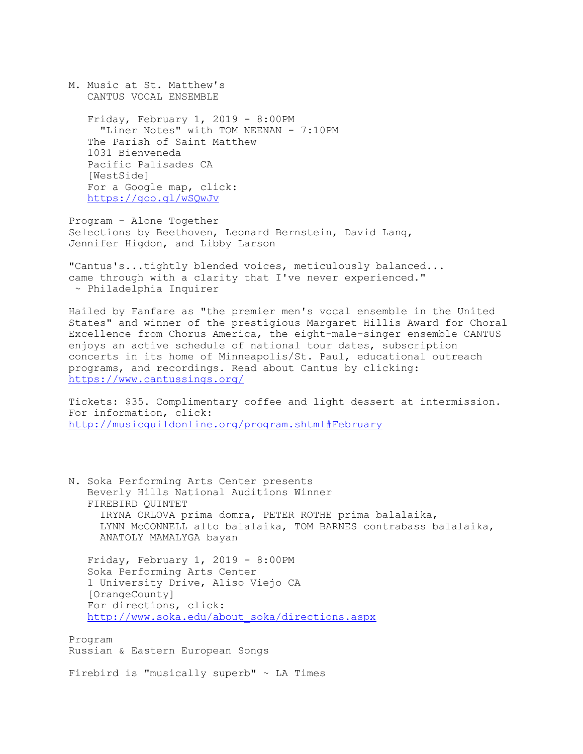M. Music at St. Matthew's CANTUS VOCAL ENSEMBLE Friday, February 1, 2019 - 8:00PM "Liner Notes" with TOM NEENAN - 7:10PM The Parish of Saint Matthew 1031 Bienveneda Pacific Palisades CA [WestSide] For a Google map, click: https://goo.gl/wSQwJv

Program - Alone Together Selections by Beethoven, Leonard Bernstein, David Lang, Jennifer Higdon, and Libby Larson

"Cantus's...tightly blended voices, meticulously balanced... came through with a clarity that I've never experienced." ~ Philadelphia Inquirer

Hailed by Fanfare as "the premier men's vocal ensemble in the United States" and winner of the prestigious Margaret Hillis Award for Choral Excellence from Chorus America, the eight-male-singer ensemble CANTUS enjoys an active schedule of national tour dates, subscription concerts in its home of Minneapolis/St. Paul, educational outreach programs, and recordings. Read about Cantus by clicking: https://www.cantussings.org/

Tickets: \$35. Complimentary coffee and light dessert at intermission. For information, click: http://musicguildonline.org/program.shtml#February

N. Soka Performing Arts Center presents Beverly Hills National Auditions Winner FIREBIRD QUINTET IRYNA ORLOVA prima domra, PETER ROTHE prima balalaika, LYNN McCONNELL alto balalaika, TOM BARNES contrabass balalaika, ANATOLY MAMALYGA bayan

 Friday, February 1, 2019 - 8:00PM Soka Performing Arts Center 1 University Drive, Aliso Viejo CA [OrangeCounty] For directions, click: http://www.soka.edu/about\_soka/directions.aspx

Program Russian & Eastern European Songs

Firebird is "musically superb"  $\sim$  LA Times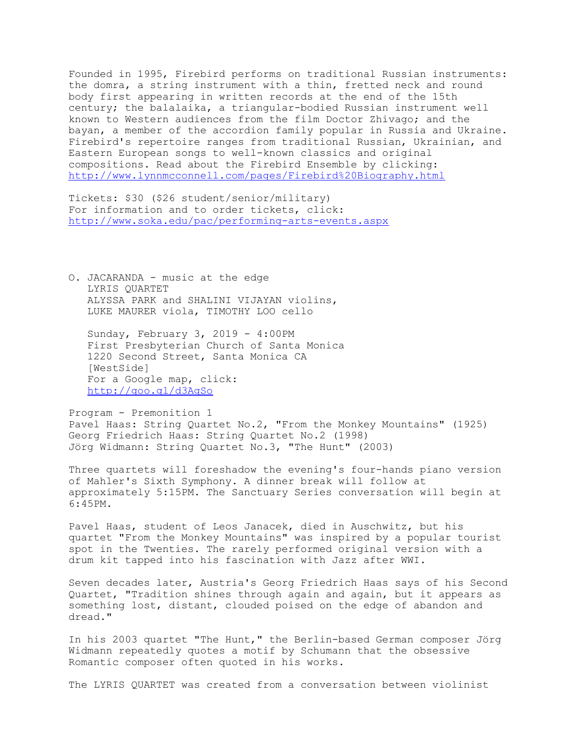Founded in 1995, Firebird performs on traditional Russian instruments: the domra, a string instrument with a thin, fretted neck and round body first appearing in written records at the end of the 15th century; the balalaika, a triangular-bodied Russian instrument well known to Western audiences from the film Doctor Zhivago; and the bayan, a member of the accordion family popular in Russia and Ukraine. Firebird's repertoire ranges from traditional Russian, Ukrainian, and Eastern European songs to well-known classics and original compositions. Read about the Firebird Ensemble by clicking: http://www.lynnmcconnell.com/pages/Firebird%20Biography.html

Tickets: \$30 (\$26 student/senior/military) For information and to order tickets, click: http://www.soka.edu/pac/performing-arts-events.aspx

O. JACARANDA - music at the edge LYRIS QUARTET ALYSSA PARK and SHALINI VIJAYAN violins, LUKE MAURER viola, TIMOTHY LOO cello

 Sunday, February 3, 2019 - 4:00PM First Presbyterian Church of Santa Monica 1220 Second Street, Santa Monica CA [WestSide] For a Google map, click: http://goo.gl/d3AgSo

Program - Premonition 1 Pavel Haas: String Quartet No.2, "From the Monkey Mountains" (1925) Georg Friedrich Haas: String Quartet No.2 (1998) Jörg Widmann: String Quartet No.3, "The Hunt" (2003)

Three quartets will foreshadow the evening's four-hands piano version of Mahler's Sixth Symphony. A dinner break will follow at approximately 5:15PM. The Sanctuary Series conversation will begin at 6:45PM.

Pavel Haas, student of Leos Janacek, died in Auschwitz, but his quartet "From the Monkey Mountains" was inspired by a popular tourist spot in the Twenties. The rarely performed original version with a drum kit tapped into his fascination with Jazz after WWI.

Seven decades later, Austria's Georg Friedrich Haas says of his Second Quartet, "Tradition shines through again and again, but it appears as something lost, distant, clouded poised on the edge of abandon and dread."

In his 2003 quartet "The Hunt," the Berlin-based German composer Jörg Widmann repeatedly quotes a motif by Schumann that the obsessive Romantic composer often quoted in his works.

The LYRIS QUARTET was created from a conversation between violinist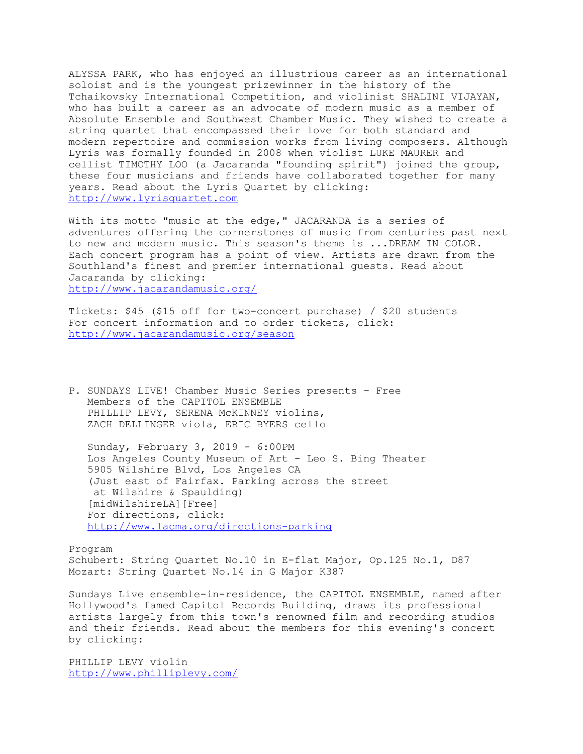ALYSSA PARK, who has enjoyed an illustrious career as an international soloist and is the youngest prizewinner in the history of the Tchaikovsky International Competition, and violinist SHALINI VIJAYAN, who has built a career as an advocate of modern music as a member of Absolute Ensemble and Southwest Chamber Music. They wished to create a string quartet that encompassed their love for both standard and modern repertoire and commission works from living composers. Although Lyris was formally founded in 2008 when violist LUKE MAURER and cellist TIMOTHY LOO (a Jacaranda "founding spirit") joined the group, these four musicians and friends have collaborated together for many years. Read about the Lyris Quartet by clicking: http://www.lyrisquartet.com

With its motto "music at the edge," JACARANDA is a series of adventures offering the cornerstones of music from centuries past next to new and modern music. This season's theme is ...DREAM IN COLOR. Each concert program has a point of view. Artists are drawn from the Southland's finest and premier international guests. Read about Jacaranda by clicking: http://www.jacarandamusic.org/

Tickets: \$45 (\$15 off for two-concert purchase) / \$20 students For concert information and to order tickets, click: http://www.jacarandamusic.org/season

P. SUNDAYS LIVE! Chamber Music Series presents - Free Members of the CAPITOL ENSEMBLE PHILLIP LEVY, SERENA MCKINNEY violins, ZACH DELLINGER viola, ERIC BYERS cello

 Sunday, February 3, 2019 - 6:00PM Los Angeles County Museum of Art - Leo S. Bing Theater 5905 Wilshire Blvd, Los Angeles CA (Just east of Fairfax. Parking across the street at Wilshire & Spaulding) [midWilshireLA][Free] For directions, click: http://www.lacma.org/directions-parking

Program Schubert: String Quartet No.10 in E-flat Major, Op.125 No.1, D87 Mozart: String Quartet No.14 in G Major K387

Sundays Live ensemble-in-residence, the CAPITOL ENSEMBLE, named after Hollywood's famed Capitol Records Building, draws its professional artists largely from this town's renowned film and recording studios and their friends. Read about the members for this evening's concert by clicking:

PHILLIP LEVY violin http://www.philliplevy.com/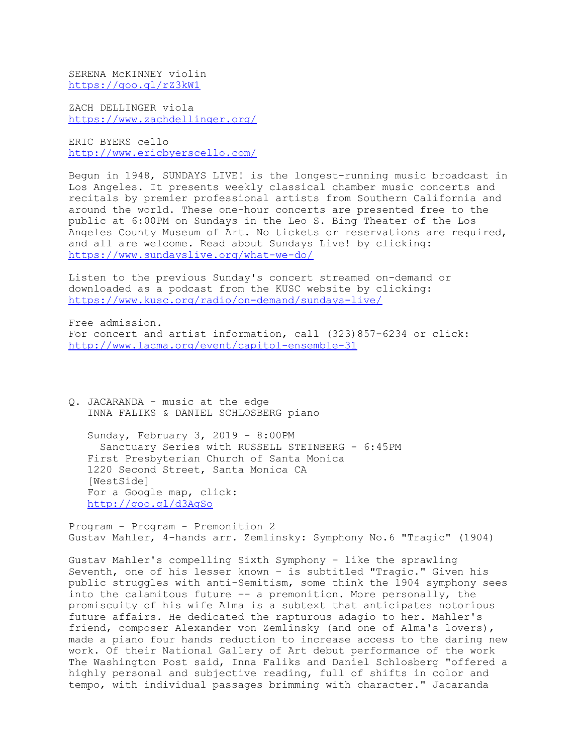SERENA McKINNEY violin https://goo.gl/rZ3kW1

ZACH DELLINGER viola https://www.zachdellinger.org/

ERIC BYERS cello http://www.ericbyerscello.com/

Begun in 1948, SUNDAYS LIVE! is the longest-running music broadcast in Los Angeles. It presents weekly classical chamber music concerts and recitals by premier professional artists from Southern California and around the world. These one-hour concerts are presented free to the public at 6:00PM on Sundays in the Leo S. Bing Theater of the Los Angeles County Museum of Art. No tickets or reservations are required, and all are welcome. Read about Sundays Live! by clicking: https://www.sundayslive.org/what-we-do/

Listen to the previous Sunday's concert streamed on-demand or downloaded as a podcast from the KUSC website by clicking: https://www.kusc.org/radio/on-demand/sundays-live/

Free admission. For concert and artist information, call (323)857-6234 or click: http://www.lacma.org/event/capitol-ensemble-31

Q. JACARANDA - music at the edge INNA FALIKS & DANIEL SCHLOSBERG piano

 Sunday, February 3, 2019 - 8:00PM Sanctuary Series with RUSSELL STEINBERG - 6:45PM First Presbyterian Church of Santa Monica 1220 Second Street, Santa Monica CA [WestSide] For a Google map, click: http://goo.gl/d3AgSo

Program - Program - Premonition 2 Gustav Mahler, 4-hands arr. Zemlinsky: Symphony No.6 "Tragic" (1904)

Gustav Mahler's compelling Sixth Symphony – like the sprawling Seventh, one of his lesser known – is subtitled "Tragic." Given his public struggles with anti-Semitism, some think the 1904 symphony sees into the calamitous future –– a premonition. More personally, the promiscuity of his wife Alma is a subtext that anticipates notorious future affairs. He dedicated the rapturous adagio to her. Mahler's friend, composer Alexander von Zemlinsky (and one of Alma's lovers), made a piano four hands reduction to increase access to the daring new work. Of their National Gallery of Art debut performance of the work The Washington Post said, Inna Faliks and Daniel Schlosberg "offered a highly personal and subjective reading, full of shifts in color and tempo, with individual passages brimming with character." Jacaranda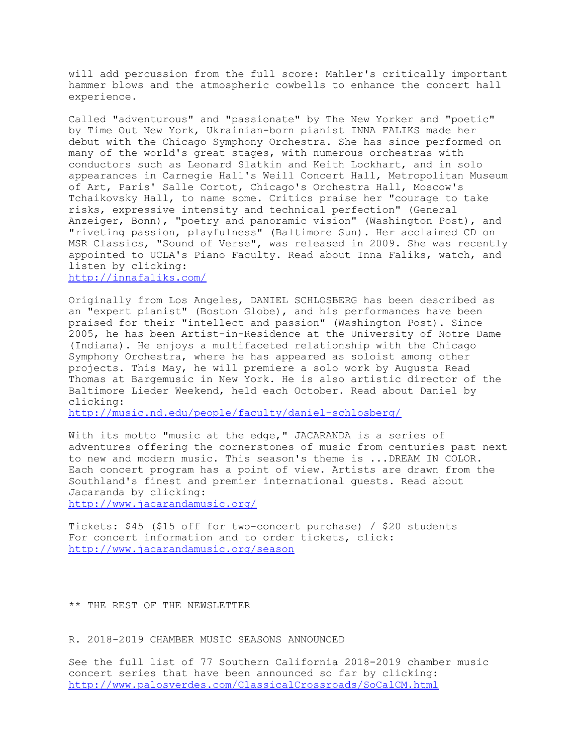will add percussion from the full score: Mahler's critically important hammer blows and the atmospheric cowbells to enhance the concert hall experience.

Called "adventurous" and "passionate" by The New Yorker and "poetic" by Time Out New York, Ukrainian-born pianist INNA FALIKS made her debut with the Chicago Symphony Orchestra. She has since performed on many of the world's great stages, with numerous orchestras with conductors such as Leonard Slatkin and Keith Lockhart, and in solo appearances in Carnegie Hall's Weill Concert Hall, Metropolitan Museum of Art, Paris' Salle Cortot, Chicago's Orchestra Hall, Moscow's Tchaikovsky Hall, to name some. Critics praise her "courage to take risks, expressive intensity and technical perfection" (General Anzeiger, Bonn), "poetry and panoramic vision" (Washington Post), and "riveting passion, playfulness" (Baltimore Sun). Her acclaimed CD on MSR Classics, "Sound of Verse", was released in 2009. She was recently appointed to UCLA's Piano Faculty. Read about Inna Faliks, watch, and listen by clicking:

http://innafaliks.com/

Originally from Los Angeles, DANIEL SCHLOSBERG has been described as an "expert pianist" (Boston Globe), and his performances have been praised for their "intellect and passion" (Washington Post). Since 2005, he has been Artist-in-Residence at the University of Notre Dame (Indiana). He enjoys a multifaceted relationship with the Chicago Symphony Orchestra, where he has appeared as soloist among other projects. This May, he will premiere a solo work by Augusta Read Thomas at Bargemusic in New York. He is also artistic director of the Baltimore Lieder Weekend, held each October. Read about Daniel by clicking:

http://music.nd.edu/people/faculty/daniel-schlosberg/

With its motto "music at the edge," JACARANDA is a series of adventures offering the cornerstones of music from centuries past next to new and modern music. This season's theme is ...DREAM IN COLOR. Each concert program has a point of view. Artists are drawn from the Southland's finest and premier international guests. Read about Jacaranda by clicking: http://www.jacarandamusic.org/

Tickets: \$45 (\$15 off for two-concert purchase) / \$20 students For concert information and to order tickets, click: http://www.jacarandamusic.org/season

\*\* THE REST OF THE NEWSLETTER

R. 2018-2019 CHAMBER MUSIC SEASONS ANNOUNCED

See the full list of 77 Southern California 2018-2019 chamber music concert series that have been announced so far by clicking: http://www.palosverdes.com/ClassicalCrossroads/SoCalCM.html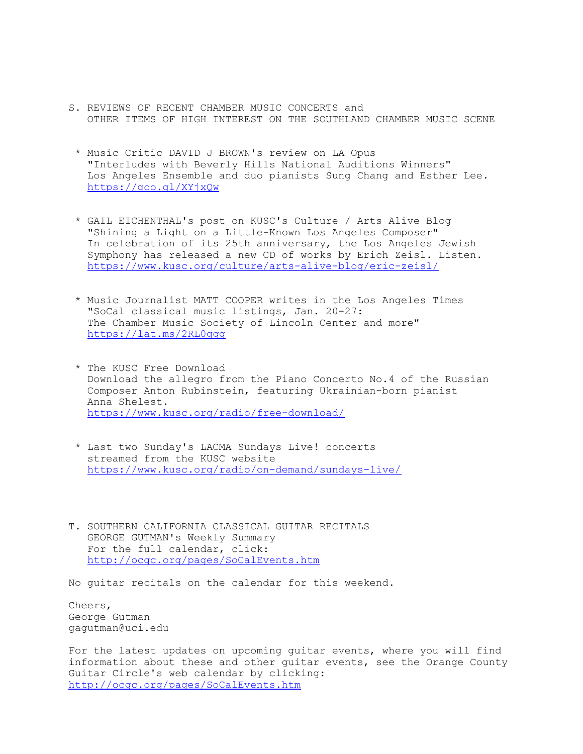- S. REVIEWS OF RECENT CHAMBER MUSIC CONCERTS and OTHER ITEMS OF HIGH INTEREST ON THE SOUTHLAND CHAMBER MUSIC SCENE
	- \* Music Critic DAVID J BROWN's review on LA Opus "Interludes with Beverly Hills National Auditions Winners" Los Angeles Ensemble and duo pianists Sung Chang and Esther Lee. https://goo.gl/XYjxQw
	- \* GAIL EICHENTHAL's post on KUSC's Culture / Arts Alive Blog "Shining a Light on a Little-Known Los Angeles Composer" In celebration of its 25th anniversary, the Los Angeles Jewish Symphony has released a new CD of works by Erich Zeisl. Listen. https://www.kusc.org/culture/arts-alive-blog/eric-zeisl/
	- \* Music Journalist MATT COOPER writes in the Los Angeles Times "SoCal classical music listings, Jan. 20-27: The Chamber Music Society of Lincoln Center and more" https://lat.ms/2RL0gqg
	- \* The KUSC Free Download Download the allegro from the Piano Concerto No.4 of the Russian Composer Anton Rubinstein, featuring Ukrainian-born pianist Anna Shelest. https://www.kusc.org/radio/free-download/
	- \* Last two Sunday's LACMA Sundays Live! concerts streamed from the KUSC website https://www.kusc.org/radio/on-demand/sundays-live/
- T. SOUTHERN CALIFORNIA CLASSICAL GUITAR RECITALS GEORGE GUTMAN's Weekly Summary For the full calendar, click: http://ocgc.org/pages/SoCalEvents.htm

No guitar recitals on the calendar for this weekend.

Cheers, George Gutman gagutman@uci.edu

For the latest updates on upcoming guitar events, where you will find information about these and other guitar events, see the Orange County Guitar Circle's web calendar by clicking: http://ocgc.org/pages/SoCalEvents.htm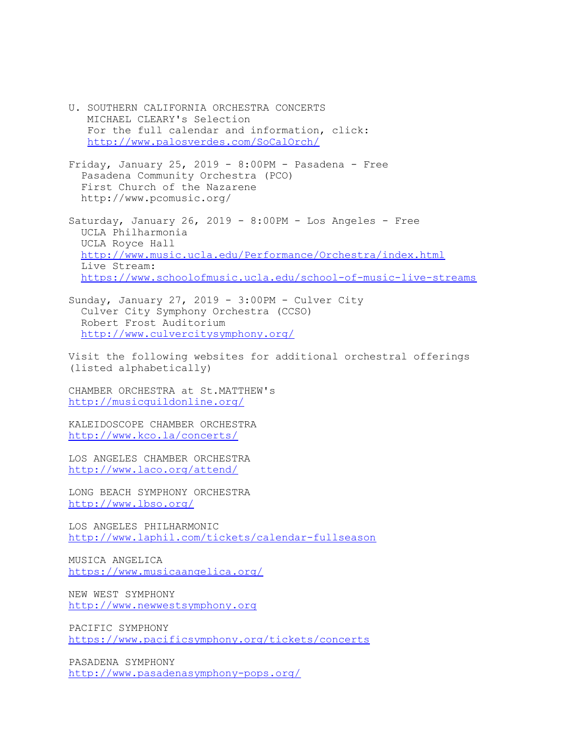- U. SOUTHERN CALIFORNIA ORCHESTRA CONCERTS MICHAEL CLEARY's Selection For the full calendar and information, click: http://www.palosverdes.com/SoCalOrch/
- Friday, January 25, 2019 8:00PM Pasadena Free Pasadena Community Orchestra (PCO) First Church of the Nazarene http://www.pcomusic.org/
- Saturday, January 26, 2019  $8:00PM -$  Los Angeles Free UCLA Philharmonia UCLA Royce Hall http://www.music.ucla.edu/Performance/Orchestra/index.html Live Stream: https://www.schoolofmusic.ucla.edu/school-of-music-live-streams
- Sunday, January 27, 2019 3:00PM Culver City Culver City Symphony Orchestra (CCSO) Robert Frost Auditorium http://www.culvercitysymphony.org/

Visit the following websites for additional orchestral offerings (listed alphabetically)

CHAMBER ORCHESTRA at St.MATTHEW's http://musicguildonline.org/

KALEIDOSCOPE CHAMBER ORCHESTRA http://www.kco.la/concerts/

LOS ANGELES CHAMBER ORCHESTRA http://www.laco.org/attend/

LONG BEACH SYMPHONY ORCHESTRA http://www.lbso.org/

LOS ANGELES PHILHARMONIC http://www.laphil.com/tickets/calendar-fullseason

MUSICA ANGELICA https://www.musicaangelica.org/

NEW WEST SYMPHONY http://www.newwestsymphony.org

PACIFIC SYMPHONY https://www.pacificsymphony.org/tickets/concerts

PASADENA SYMPHONY http://www.pasadenasymphony-pops.org/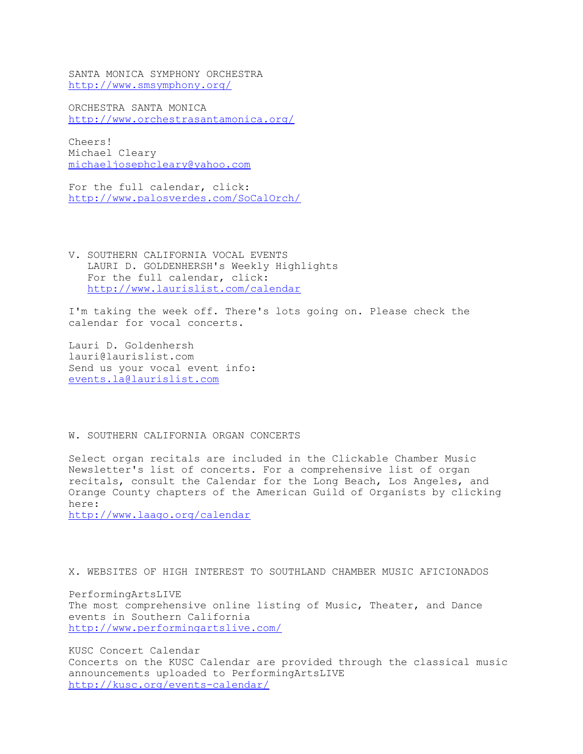SANTA MONICA SYMPHONY ORCHESTRA http://www.smsymphony.org/

ORCHESTRA SANTA MONICA http://www.orchestrasantamonica.org/

Cheers! Michael Cleary michaeljosephcleary@yahoo.com

For the full calendar, click: http://www.palosverdes.com/SoCalOrch/

V. SOUTHERN CALIFORNIA VOCAL EVENTS LAURI D. GOLDENHERSH's Weekly Highlights For the full calendar, click: http://www.laurislist.com/calendar

I'm taking the week off. There's lots going on. Please check the calendar for vocal concerts.

Lauri D. Goldenhersh lauri@laurislist.com Send us your vocal event info: events.la@laurislist.com

# W. SOUTHERN CALIFORNIA ORGAN CONCERTS

Select organ recitals are included in the Clickable Chamber Music Newsletter's list of concerts. For a comprehensive list of organ recitals, consult the Calendar for the Long Beach, Los Angeles, and Orange County chapters of the American Guild of Organists by clicking here:

http://www.laago.org/calendar

X. WEBSITES OF HIGH INTEREST TO SOUTHLAND CHAMBER MUSIC AFICIONADOS

PerformingArtsLIVE The most comprehensive online listing of Music, Theater, and Dance events in Southern California http://www.performingartslive.com/

KUSC Concert Calendar Concerts on the KUSC Calendar are provided through the classical music announcements uploaded to PerformingArtsLIVE http://kusc.org/events-calendar/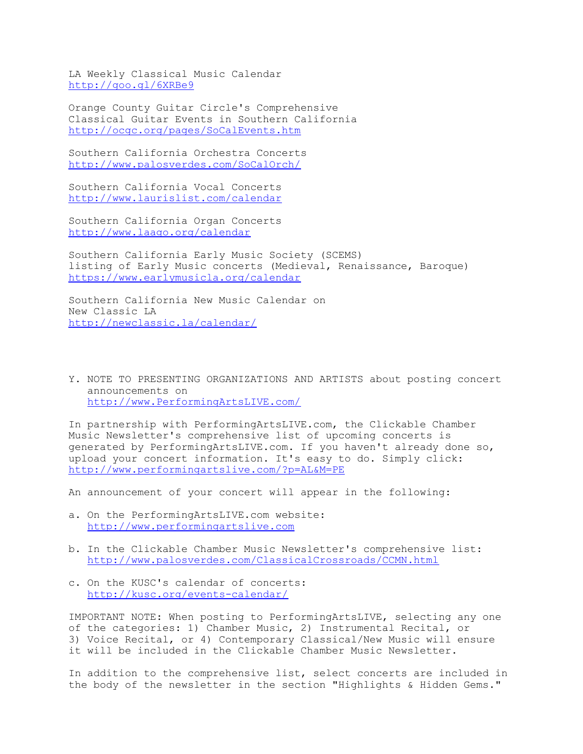LA Weekly Classical Music Calendar http://goo.gl/6XRBe9

Orange County Guitar Circle's Comprehensive Classical Guitar Events in Southern California http://ocgc.org/pages/SoCalEvents.htm

Southern California Orchestra Concerts http://www.palosverdes.com/SoCalOrch/

Southern California Vocal Concerts http://www.laurislist.com/calendar

Southern California Organ Concerts http://www.laago.org/calendar

Southern California Early Music Society (SCEMS) listing of Early Music concerts (Medieval, Renaissance, Baroque) https://www.earlymusicla.org/calendar

Southern California New Music Calendar on New Classic LA http://newclassic.la/calendar/

Y. NOTE TO PRESENTING ORGANIZATIONS AND ARTISTS about posting concert announcements on http://www.PerformingArtsLIVE.com/

In partnership with PerformingArtsLIVE.com, the Clickable Chamber Music Newsletter's comprehensive list of upcoming concerts is generated by PerformingArtsLIVE.com. If you haven't already done so, upload your concert information. It's easy to do. Simply click: http://www.performingartslive.com/?p=AL&M=PE

An announcement of your concert will appear in the following:

- a. On the PerformingArtsLIVE.com website: http://www.performingartslive.com
- b. In the Clickable Chamber Music Newsletter's comprehensive list: http://www.palosverdes.com/ClassicalCrossroads/CCMN.html
- c. On the KUSC's calendar of concerts: http://kusc.org/events-calendar/

IMPORTANT NOTE: When posting to PerformingArtsLIVE, selecting any one of the categories: 1) Chamber Music, 2) Instrumental Recital, or 3) Voice Recital, or 4) Contemporary Classical/New Music will ensure it will be included in the Clickable Chamber Music Newsletter.

In addition to the comprehensive list, select concerts are included in the body of the newsletter in the section "Highlights & Hidden Gems."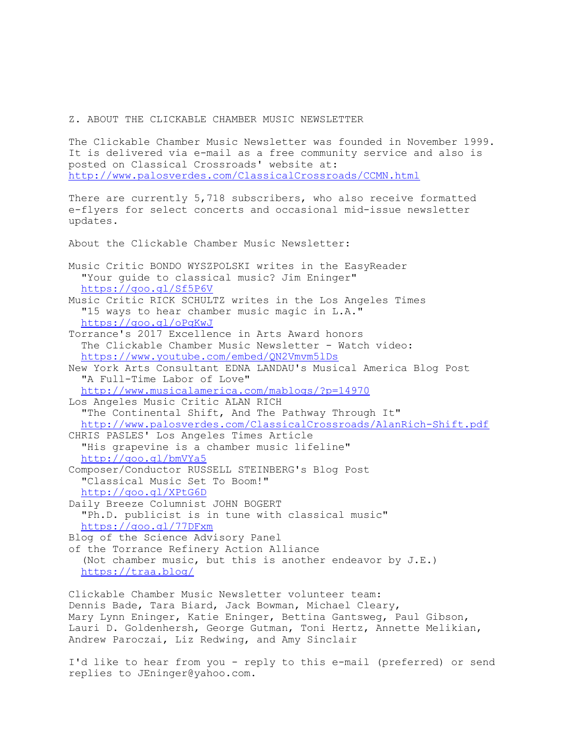#### Z. ABOUT THE CLICKABLE CHAMBER MUSIC NEWSLETTER

The Clickable Chamber Music Newsletter was founded in November 1999. It is delivered via e-mail as a free community service and also is posted on Classical Crossroads' website at: http://www.palosverdes.com/ClassicalCrossroads/CCMN.html

There are currently 5,718 subscribers, who also receive formatted e-flyers for select concerts and occasional mid-issue newsletter updates.

About the Clickable Chamber Music Newsletter:

Music Critic BONDO WYSZPOLSKI writes in the EasyReader "Your guide to classical music? Jim Eninger" https://goo.gl/Sf5P6V

Music Critic RICK SCHULTZ writes in the Los Angeles Times "15 ways to hear chamber music magic in L.A." https://goo.gl/oPqKwJ

Torrance's 2017 Excellence in Arts Award honors The Clickable Chamber Music Newsletter - Watch video: https://www.youtube.com/embed/QN2Vmvm5lDs

New York Arts Consultant EDNA LANDAU's Musical America Blog Post "A Full-Time Labor of Love"

http://www.musicalamerica.com/mablogs/?p=14970

Los Angeles Music Critic ALAN RICH "The Continental Shift, And The Pathway Through It" http://www.palosverdes.com/ClassicalCrossroads/AlanRich-Shift.pdf CHRIS PASLES' Los Angeles Times Article "His grapevine is a chamber music lifeline" http://goo.gl/bmVYa5

Composer/Conductor RUSSELL STEINBERG's Blog Post "Classical Music Set To Boom!" http://goo.gl/XPtG6D

Daily Breeze Columnist JOHN BOGERT "Ph.D. publicist is in tune with classical music" https://goo.gl/77DFxm

Blog of the Science Advisory Panel

of the Torrance Refinery Action Alliance (Not chamber music, but this is another endeavor by J.E.) https://traa.blog/

Clickable Chamber Music Newsletter volunteer team: Dennis Bade, Tara Biard, Jack Bowman, Michael Cleary, Mary Lynn Eninger, Katie Eninger, Bettina Gantsweg, Paul Gibson, Lauri D. Goldenhersh, George Gutman, Toni Hertz, Annette Melikian, Andrew Paroczai, Liz Redwing, and Amy Sinclair

I'd like to hear from you - reply to this e-mail (preferred) or send replies to JEninger@yahoo.com.